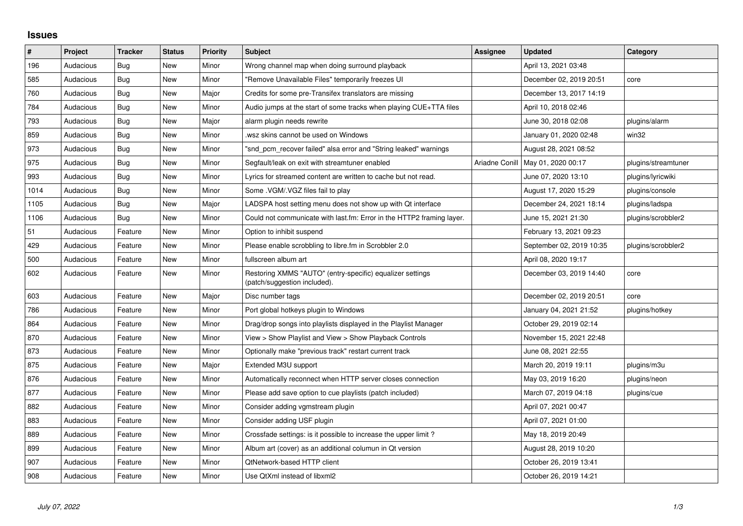## **Issues**

| $\vert$ # | Project   | <b>Tracker</b> | <b>Status</b> | <b>Priority</b> | <b>Subject</b>                                                                            | <b>Assignee</b> | <b>Updated</b>           | Category            |
|-----------|-----------|----------------|---------------|-----------------|-------------------------------------------------------------------------------------------|-----------------|--------------------------|---------------------|
| 196       | Audacious | Bug            | <b>New</b>    | Minor           | Wrong channel map when doing surround playback                                            |                 | April 13, 2021 03:48     |                     |
| 585       | Audacious | <b>Bug</b>     | <b>New</b>    | Minor           | "Remove Unavailable Files" temporarily freezes UI                                         |                 | December 02, 2019 20:51  | core                |
| 760       | Audacious | <b>Bug</b>     | New           | Major           | Credits for some pre-Transifex translators are missing                                    |                 | December 13, 2017 14:19  |                     |
| 784       | Audacious | <b>Bug</b>     | <b>New</b>    | Minor           | Audio jumps at the start of some tracks when playing CUE+TTA files                        |                 | April 10, 2018 02:46     |                     |
| 793       | Audacious | <b>Bug</b>     | <b>New</b>    | Major           | alarm plugin needs rewrite                                                                |                 | June 30, 2018 02:08      | plugins/alarm       |
| 859       | Audacious | <b>Bug</b>     | New           | Minor           | wsz skins cannot be used on Windows                                                       |                 | January 01, 2020 02:48   | win32               |
| 973       | Audacious | <b>Bug</b>     | <b>New</b>    | Minor           | "snd_pcm_recover failed" alsa error and "String leaked" warnings                          |                 | August 28, 2021 08:52    |                     |
| 975       | Audacious | Bug            | New           | Minor           | Segfault/leak on exit with streamtuner enabled                                            | Ariadne Conill  | May 01, 2020 00:17       | plugins/streamtuner |
| 993       | Audacious | Bug            | <b>New</b>    | Minor           | Lyrics for streamed content are written to cache but not read.                            |                 | June 07, 2020 13:10      | plugins/lyricwiki   |
| 1014      | Audacious | Bug            | <b>New</b>    | Minor           | Some . VGM/. VGZ files fail to play                                                       |                 | August 17, 2020 15:29    | plugins/console     |
| 1105      | Audacious | <b>Bug</b>     | New           | Major           | LADSPA host setting menu does not show up with Qt interface                               |                 | December 24, 2021 18:14  | plugins/ladspa      |
| 1106      | Audacious | Bug            | <b>New</b>    | Minor           | Could not communicate with last.fm: Error in the HTTP2 framing layer.                     |                 | June 15, 2021 21:30      | plugins/scrobbler2  |
| 51        | Audacious | Feature        | <b>New</b>    | Minor           | Option to inhibit suspend                                                                 |                 | February 13, 2021 09:23  |                     |
| 429       | Audacious | Feature        | <b>New</b>    | Minor           | Please enable scrobbling to libre.fm in Scrobbler 2.0                                     |                 | September 02, 2019 10:35 | plugins/scrobbler2  |
| 500       | Audacious | Feature        | <b>New</b>    | Minor           | fullscreen album art                                                                      |                 | April 08, 2020 19:17     |                     |
| 602       | Audacious | Feature        | New           | Minor           | Restoring XMMS "AUTO" (entry-specific) equalizer settings<br>(patch/suggestion included). |                 | December 03, 2019 14:40  | core                |
| 603       | Audacious | Feature        | <b>New</b>    | Major           | Disc number tags                                                                          |                 | December 02, 2019 20:51  | core                |
| 786       | Audacious | Feature        | <b>New</b>    | Minor           | Port global hotkeys plugin to Windows                                                     |                 | January 04, 2021 21:52   | plugins/hotkey      |
| 864       | Audacious | Feature        | <b>New</b>    | Minor           | Drag/drop songs into playlists displayed in the Playlist Manager                          |                 | October 29, 2019 02:14   |                     |
| 870       | Audacious | Feature        | New           | Minor           | View > Show Playlist and View > Show Playback Controls                                    |                 | November 15, 2021 22:48  |                     |
| 873       | Audacious | Feature        | <b>New</b>    | Minor           | Optionally make "previous track" restart current track                                    |                 | June 08, 2021 22:55      |                     |
| 875       | Audacious | Feature        | <b>New</b>    | Major           | Extended M3U support                                                                      |                 | March 20, 2019 19:11     | plugins/m3u         |
| 876       | Audacious | Feature        | New           | Minor           | Automatically reconnect when HTTP server closes connection                                |                 | May 03, 2019 16:20       | plugins/neon        |
| 877       | Audacious | Feature        | <b>New</b>    | Minor           | Please add save option to cue playlists (patch included)                                  |                 | March 07, 2019 04:18     | plugins/cue         |
| 882       | Audacious | Feature        | <b>New</b>    | Minor           | Consider adding vgmstream plugin                                                          |                 | April 07, 2021 00:47     |                     |
| 883       | Audacious | Feature        | New           | Minor           | Consider adding USF plugin                                                                |                 | April 07, 2021 01:00     |                     |
| 889       | Audacious | Feature        | <b>New</b>    | Minor           | Crossfade settings: is it possible to increase the upper limit?                           |                 | May 18, 2019 20:49       |                     |
| 899       | Audacious | Feature        | New           | Minor           | Album art (cover) as an additional columun in Qt version                                  |                 | August 28, 2019 10:20    |                     |
| 907       | Audacious | Feature        | New           | Minor           | QtNetwork-based HTTP client                                                               |                 | October 26, 2019 13:41   |                     |
| 908       | Audacious | Feature        | <b>New</b>    | Minor           | Use QtXml instead of libxml2                                                              |                 | October 26, 2019 14:21   |                     |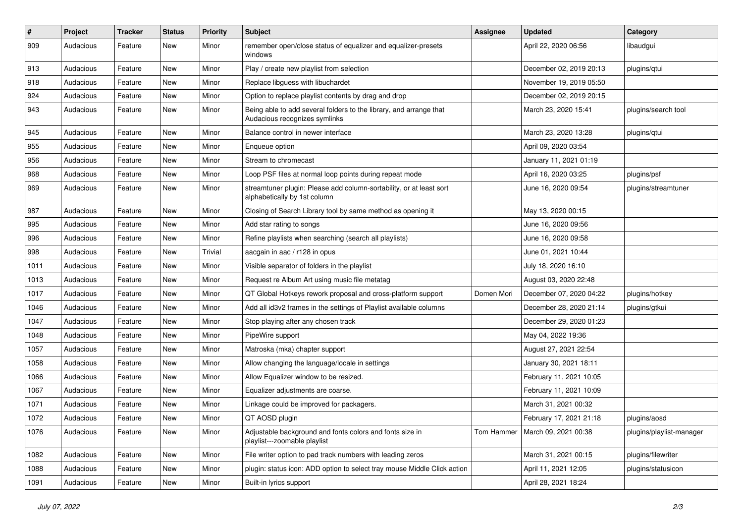| #    | Project   | <b>Tracker</b> | <b>Status</b> | <b>Priority</b> | <b>Subject</b>                                                                                      | <b>Assignee</b> | <b>Updated</b>                    | Category                 |
|------|-----------|----------------|---------------|-----------------|-----------------------------------------------------------------------------------------------------|-----------------|-----------------------------------|--------------------------|
| 909  | Audacious | Feature        | New           | Minor           | remember open/close status of equalizer and equalizer-presets<br>windows                            |                 | April 22, 2020 06:56              | libaudgui                |
| 913  | Audacious | Feature        | New           | Minor           | Play / create new playlist from selection                                                           |                 | December 02, 2019 20:13           | plugins/qtui             |
| 918  | Audacious | Feature        | <b>New</b>    | Minor           | Replace libguess with libuchardet                                                                   |                 | November 19, 2019 05:50           |                          |
| 924  | Audacious | Feature        | New           | Minor           | Option to replace playlist contents by drag and drop                                                |                 | December 02, 2019 20:15           |                          |
| 943  | Audacious | Feature        | New           | Minor           | Being able to add several folders to the library, and arrange that<br>Audacious recognizes symlinks |                 | March 23, 2020 15:41              | plugins/search tool      |
| 945  | Audacious | Feature        | New           | Minor           | Balance control in newer interface                                                                  |                 | March 23, 2020 13:28              | plugins/qtui             |
| 955  | Audacious | Feature        | New           | Minor           | Enqueue option                                                                                      |                 | April 09, 2020 03:54              |                          |
| 956  | Audacious | Feature        | <b>New</b>    | Minor           | Stream to chromecast                                                                                |                 | January 11, 2021 01:19            |                          |
| 968  | Audacious | Feature        | New           | Minor           | Loop PSF files at normal loop points during repeat mode                                             |                 | April 16, 2020 03:25              | plugins/psf              |
| 969  | Audacious | Feature        | New           | Minor           | streamtuner plugin: Please add column-sortability, or at least sort<br>alphabetically by 1st column |                 | June 16, 2020 09:54               | plugins/streamtuner      |
| 987  | Audacious | Feature        | <b>New</b>    | Minor           | Closing of Search Library tool by same method as opening it                                         |                 | May 13, 2020 00:15                |                          |
| 995  | Audacious | Feature        | <b>New</b>    | Minor           | Add star rating to songs                                                                            |                 | June 16, 2020 09:56               |                          |
| 996  | Audacious | Feature        | New           | Minor           | Refine playlists when searching (search all playlists)                                              |                 | June 16, 2020 09:58               |                          |
| 998  | Audacious | Feature        | New           | Trivial         | aacgain in aac / r128 in opus                                                                       |                 | June 01, 2021 10:44               |                          |
| 1011 | Audacious | Feature        | <b>New</b>    | Minor           | Visible separator of folders in the playlist                                                        |                 | July 18, 2020 16:10               |                          |
| 1013 | Audacious | Feature        | New           | Minor           | Request re Album Art using music file metatag                                                       |                 | August 03, 2020 22:48             |                          |
| 1017 | Audacious | Feature        | New           | Minor           | QT Global Hotkeys rework proposal and cross-platform support                                        | Domen Mori      | December 07, 2020 04:22           | plugins/hotkey           |
| 1046 | Audacious | Feature        | New           | Minor           | Add all id3v2 frames in the settings of Playlist available columns                                  |                 | December 28, 2020 21:14           | plugins/gtkui            |
| 1047 | Audacious | Feature        | New           | Minor           | Stop playing after any chosen track                                                                 |                 | December 29, 2020 01:23           |                          |
| 1048 | Audacious | Feature        | <b>New</b>    | Minor           | PipeWire support                                                                                    |                 | May 04, 2022 19:36                |                          |
| 1057 | Audacious | Feature        | New           | Minor           | Matroska (mka) chapter support                                                                      |                 | August 27, 2021 22:54             |                          |
| 1058 | Audacious | Feature        | <b>New</b>    | Minor           | Allow changing the language/locale in settings                                                      |                 | January 30, 2021 18:11            |                          |
| 1066 | Audacious | Feature        | New           | Minor           | Allow Equalizer window to be resized.                                                               |                 | February 11, 2021 10:05           |                          |
| 1067 | Audacious | Feature        | New           | Minor           | Equalizer adjustments are coarse.                                                                   |                 | February 11, 2021 10:09           |                          |
| 1071 | Audacious | Feature        | <b>New</b>    | Minor           | Linkage could be improved for packagers.                                                            |                 | March 31, 2021 00:32              |                          |
| 1072 | Audacious | Feature        | New           | Minor           | QT AOSD plugin                                                                                      |                 | February 17, 2021 21:18           | plugins/aosd             |
| 1076 | Audacious | Feature        | New           | Minor           | Adjustable background and fonts colors and fonts size in<br>playlist---zoomable playlist            |                 | Tom Hammer   March 09, 2021 00:38 | plugins/playlist-manager |
| 1082 | Audacious | Feature        | New           | Minor           | File writer option to pad track numbers with leading zeros                                          |                 | March 31, 2021 00:15              | plugins/filewriter       |
| 1088 | Audacious | Feature        | New           | Minor           | plugin: status icon: ADD option to select tray mouse Middle Click action                            |                 | April 11, 2021 12:05              | plugins/statusicon       |
| 1091 | Audacious | Feature        | New           | Minor           | Built-in lyrics support                                                                             |                 | April 28, 2021 18:24              |                          |